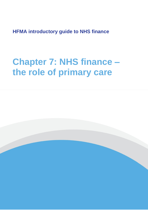**HFMA introductory guide to NHS finance**

# **Chapter 7: NHS finance – the role of primary care**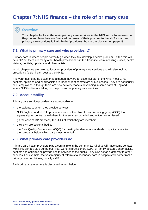# **Chapter 7: NHS finance – the role of primary care**

#### **Overview**

**This chapter looks at the main primary care services in the NHS with a focus on what they do and how they are financed. In terms of their position in the NHS structure, primary care services fall within the 'providers' box in the diagram on page 13.**

#### **7.1 What is primary care and who provides it?**

Primary care is where people normally go when they first develop a health problem – often this will be a GP but there are many other health professionals in this front-line team including nurses, health visitors, dentists, opticians and pharmacists.

In this chapter we are going to focus on providers of primary care services and will also look at prescribing (a significant cost to the NHS).

It is worth noting at the outset that, although they are an essential part of the NHS, most GPs, dentists, opticians and pharmacists are independent contractors or businesses. They are not usually NHS employees, although there are new delivery models developing in some parts of England, where NHS bodies are taking on the provision of primary care services.

### **7.2 Accountability**

Primary care service providers are accountable to:

- the patients to whom they provide services
- NHS England and NHS Improvement and/ or the clinical commissioning group (CCG) that agrees signed contracts with them for the services provided and outcomes achieved
- (in the case of GP practices) the CCG of which they are members
- their own professional bodies
- the Care Quality Commission (CQC) for meeting fundamental standards of quality care i.e. the standards below which care must never fall.

#### **7.3 What primary care providers do**

Primary care health providers play a central role in the community. All of us will have some contact with NHS primary care during our lives. General practitioners (GPs) or 'family doctors', pharmacists, dentists and opticians all provide health services to the public. They also act as a gateway to other services. For example, the vast majority of referrals to secondary care in hospitals will come from a primary care practitioner, usually a GP.

Each primary care service is discussed in turn below.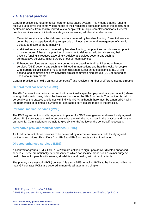# **7.4 General practice**

General practice is funded to deliver care on a list-based system. This means that the funding received is to cover the primary care needs of their registered population across the spectrum of healthcare needs; from healthy individuals to people with multiple complex conditions. General practice services are split into three categories: essential, additional, and enhanced.

- Essential services must be delivered and are covered by baseline funding. Essential services cover the care of a patient during an episode of illness, the general management of chronic disease and care of the terminally ill.
- Additional services are also covered by baseline funding, but practices can choose to opt out of one or more of these. If a practice chooses not to deliver an additional service, their baseline funding is reduced accordingly. Additional services cover areas such as contraceptive services, minor surgery or out of hours services.
- Enhanced services attract a payment on top of the baseline funding. Directed enhanced services (DES) cover areas such as childhood immunisations and health checks for people with learning disabilities and must be commissioned. Local enhanced services (LES) are optional and commissioned by individual clinical commissioning groups (CCGs) depending upon local requirements.

General practice can hold a variety of contracts<sup>77</sup> and receive a number of different income streams.

#### **General medical services (GMS)**

The GMS contract is a national contract with a nationally specified payment rate per patient (referred to as global sum income; this is the baseline income for the GMS contract). The contract is held in perpetuity by the practice and is not with individual GPs, although there must be a named GP within the partnership at all times. Payments for contracted services are made to the practice.

#### **Personal medical services (PMS)**

The PMS agreement is locally negotiated in place of a GMS arrangement and uses locally agreed prices. PMS contracts are held in perpetuity but are with the individuals in the practice and not the partnership. Commissioners are able to give six months' notice on the contract if necessary.

#### **Alternative provider medical services (APMS)**

An APMS contract allows services to be delivered by alternative providers, with locally agreed contracts and prices. This differs from GMS and PMS contracts as it is time limited.

#### **Directed enhanced services (DES)**

All contractor groups (GMS, PMS or APMS) are entitled to sign up to deliver directed enhanced services. These are nationally defined services which can include areas such as minor surgery; health checks for people with learning disabilities; and dealing with violent patients.

The primary care network (PCN) contract<sup>78</sup> is also a DES, enabling PCNs to be included within the main GP contract. PCNs are covered in more detail later in this chapter.

<sup>77</sup> [NHS England,](https://www.england.nhs.uk/gp/investment/gp-contract/) *GP contract*, 2020

<sup>78</sup> NHS England and BMA, *[Network contract directed enhanced service specification](https://www.england.nhs.uk/publication/network-contract-directed-enhanced-service-des-specification-2019-20/)*, April 2019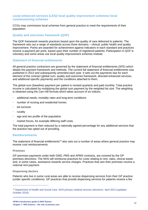#### **Local enhanced services (LES)/ local quality improvement schemes/ local commissioning schemes**

CCGs may commission local schemes from general practice to meet the requirements of their population.

#### **Quality and outcomes framework (QOF)**

The QOF framework rewards practices based upon the quality of care delivered to patients. The framework sets out a range of standards across three domains – clinical, public health and quality improvement. Points are awarded for achievement against indicators in each standard and practices receive a payment per point, based upon their number of registered patients. Participation in QOF is voluntary and some areas use local quality improvement schemes instead.

#### **Statement of financial entitlements**

All general practice contractors are governed by the statement of financial entitlements (SFE) which details the payment framework and methods. The current full statement of financial entitlements was published in 2013 and subsequently amended each year. It sets out the payments due for each element of the contract (global sum, quality and outcomes framework, directed enhanced services, and additional specific payments) and the conditions attached to them.

The global sum (baseline) payment per patient is revised quarterly and paid monthly. Total practice income is calculated by multiplying the global sum payment by the weighted list size. The weighting is obtained using the Carr-Hill formula which takes account of six indices:

- additional needs; mortality rates and long-term conditions
- number of nursing and residential homes
- list turnover
- **rurality**
- age and sex profile of the population
- market forces, for example differing staff costs.

The total payment is then reduced by a nationally agreed percentage for any additional services that the practice has opted out of providing.

#### **Reimbursements**

The statement of financial entitlements<sup>79</sup> also sets out a number of areas where general practice may receive cost reimbursements.

#### **Premises**

GP premises payments under both GMS, PMS and APMS contracts, are covered by the GP premises directions. The NHS will reimburse practices for costs relating to rent, rates, clinical waste and, in some cases, assistance towards service charges. Practices that own their premises receive a notional rent payment.

#### **Dispensing doctors**

Patients who live in some rural areas are able to receive dispensing services from their GP practice (under specific conditions). GP practices that provide dispensing services for patients receive a fee

<sup>79</sup> Department of Health and Social Care, *[NHS primary medical services directions,](https://www.gov.uk/government/publications/nhs-primary-medical-services-directions-2013)* April 2013 (updated [October 2019\)](https://www.gov.uk/government/publications/nhs-primary-medical-services-directions-2013)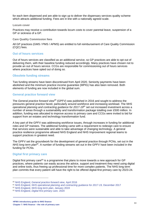for each item dispensed and are able to sign up to deliver the dispensary services quality scheme which attracts additional funding. Fees are in line with a nationally agreed scale.

#### **Locum cover**

Practices may receive a contribution towards locum costs to cover parental leave, suspension of a GP or sickness of a GP.

#### **Care Quality Commission fees**

All GP practices (GMS / PMS / APMS) are entitled to full reimbursement of Care Quality Commission (CQC) fees.

#### **Out of hours services**

Out of hours services are classified as an additional service, so GP practices are able to opt out of delivering them, with their baseline funding reduced accordingly. Many practices have chosen not to provide an out of hours service. CCGs are responsible for commissioning out of hours services where practices have opted out of doing so.

#### **Obsolete funding streams**

Two funding streams have been discontinued from April 2020. Seniority payments have been abolished and the minimum practice income guarantee (MPIG) has also been removed. Both elements of funding are now included in the global sum.

#### **General practice forward view**

The *General practice forward view<sup>80</sup>* (GPFV) was published in 2016 and sought to address the pressures general practice faced, particularly around workforce and increasing workload. The *NHS operational planning and contracting guidance for 2017-19<sup>81</sup>* set out increased investment across a number of areas through a sustainability and transformation package totalling over £500 million. In addition, funding was allocated to improve access to primary care and CCGs were invited to bid for support from an estates and technology transformation fund.

A key part of the GPFV was addressing workforce issues, through increases in funding for additional roles and GP trainees. The additional funding came with a requirement to redesign care to ensure that services were sustainable and able to take advantage of changing technology. A general practice resilience programme allowed NHS England and NHS Improvement regional teams to support practices in greatest need.

The GPFV set the groundwork for the development of general practice through PCNs, set out in the *NHS long term plan<sup>82</sup>*. A number of funding streams set out in the GPFV have been included in the funding for PCNs.

#### **Digital first primary care**

Digital first primary care<sup>83</sup> is a programme that plans to move towards a new approach for GP practices, where patients can easily access the advice, support and treatment they need using digital and online tools, thus freeing up professional time for more complex patients. The NHS long term plan commits that every patient will have the right to be offered digital-first primary care by 2023-24.

<sup>80</sup> NHS England, *[General practice forward view,](https://www.england.nhs.uk/wp-content/uploads/2016/04/gpfv.pdf)* April 2016

<sup>81</sup> NHS England, *[NHS operational planning and contracting guidance for 2017-19,](https://www.england.nhs.uk/publication/nhs-operational-planning-and-contracting-guidance-2017-2019/)* December 2017

<sup>82</sup> NHS England, *[NHS long term plan](https://www.longtermplan.nhs.uk/)*, January 2019

<sup>83</sup> NHS England, *[Digital first primary care,](https://www.england.nhs.uk/gp/digital-first-primary-care/)* 2020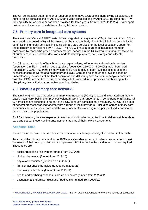The GP contract set out a number of requirements to move towards this right, giving all patients the right to online consultations by April 2020 and video consultations by April 2021. Building on GPFV funding, £15 million per year has been provided for three years, from 2020/21 to 2022/23, to support online consultations and the delivery of a digital first approach.

# **7.5 Primary care in integrated care systems**

The *Health and Care Act 2022<sup>84</sup>* establishes integrated care systems (ICSs) in law. Within an ICS, an integrated care board (ICB) will be created as the statutory body. The ICB will hold responsibility for commissioning health services, including primary care services for the local population, apart from those directly commissioned by NHSE&I. The ICB will have a board that includes a member nominated by those who provide primary medical services in the ICB's area, ensuring that the voice of primary care is included in decisions made to develop system level strategy and allocate resources.

An ICS, as a partnership of health and care organisations, will operate at three levels: system (population 1 million – 3 million people); place (population 250,000 – 500,000); neighbourhood (population 30,000 – 50,000). Primary care has a role to play at each level but is integral to the success of care delivered at a neighbourhood level. Care at a neighbourhood level is based on understanding the needs of the local population and delivering care as close to people's homes as possible. PCNs are central to this, expanding what is offered in GP practices and building multidisciplinary teams that span organisational boundaries.

# **7.6 What is a primary care network?**

The *NHS long term plan* introduced primary care networks (PCNs) to expand integrated communitybased healthcare, building on previous voluntary working arrangements in some parts of England. All GP practices are expected to be part of a PCN, although participation is voluntary. A PCN is a group of general practices working together with a range of local providers – including across primary care, community services, social care and the voluntary sector – offering more personalised, coordinated care to their local populations.

As PCNs develop, they are expected to work jointly with other organisations to deliver neighbourhood care and set out these working arrangements as part of their network agreement.

### **Additional roles**

Each PCN must have a named clinical director who must be a practicing clinician within that PCN.

To expand the primary care workforce, PCNs are also able to recruit to other roles in order to meet the needs of their local populations. It is up to each PCN to decide the distribution of roles required. These roles are:

- social prescribing link worker (funded from 2019/20)
- clinical pharmacist (funded from 2019/20)
- physician associates (funded from 2020/21)
- first contact physiotherapists (funded from 2020/21)
- pharmacy technicians (funded from 2020/21)
- health and wellbeing coaches / care co-ordinators (funded from 2020/21)
- occupational therapists / dietitians / podiatrists (funded from 2020/21)

<sup>84</sup> UK Parliament, *[Health and Care Bill](https://bills.parliament.uk/bills/3022)*, July 2021 – the Act was not available to reference at time of publication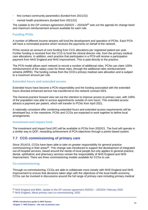- first contact community paramedics (funded from 2021/22)
- mental health practitioners (funded from 2021/22)

The *Update to the GP contract agreement 2020/21 – 2023/24<sup>85</sup>* sets out the agenda for change band and maximum reimbursement amount available for each role.

#### **Funding PCNs**

A number of different income streams will fund the development and operation of PCNs. Each PCN will have a nominated practice which receives the payments on behalf of the network.

PCNs receive an amount of core funding from CCG allocations per registered patient per year. Further funding is received from the CCG to fund the clinical director role, from the primary medical care allocations. In addition, each practice that participates in a PCN will receive a participation payment from NHS England and NHS Improvement. This is paid directly to the practice.

The PCN model allows each network to recruit a number of additional roles. PCNs can claim 100% reimbursement of the salary costs for these roles, through the additional roles reimbursement scheme (ARRS). The funding comes from the CCG's primary medical care allocation and is subject to a maximum amount per role.

#### **Extended hours and extended access**

Extended hours have become a PCN responsibility and the funding associated with the extended hours directed enhanced service has transferred to the network contract DES.

The *General practice forward view* set out the intention to improve access to primary care, with 100% of the population now able to access appointments outside of core hours. This extended access attracts a payment per patient, which will transfer to PCNs from April 2021.

A nationally consistent offer combining extended hours and extended access requirements will be developed but, in the meantime, PCNs and CCGs are expected to work together to define local arrangements.

#### **Investment and impact fund**

The investment and impact fund (IIF) will be available to PCNs from 2020/21. The fund will operate in a similar way to QOF, rewarding achievement of PCN objectives through a points-based system.

# **7.7 CCG commissioning of primary care**

Since 2014/15, CCGs have been able to take on greater responsibility for general practice commissioning in their areas<sup>86</sup>. This change was introduced to support the development of integrated out-of-hospital services, based around the needs of local people but only applies to general practice; dental, ophthalmic and pharmacy services remain the responsibility of NHS England and NHS Improvement. There are three commissioning models available for CCGs to use.

#### **Co-commissioning**

Through co-commissioning, CCGs are able to collaborate more closely with NHS England and NHS Improvement to ensure that decisions taken align with the objectives of the local health economy. CCGs can be involved in discussions around the full range of primary care including primary medical

<sup>85</sup> NHS England and BMA, *[Update to the GP contract agreement 2020/21 –](https://www.england.nhs.uk/wp-content/uploads/2020/02/update-to-the-gp-contract-agreement-2021-2324-v2.pdf) 2023/24,* February 2020 <sup>86</sup> NHS England, *[About primary care co-commissioning](https://www.england.nhs.uk/commissioning/pc-co-comms/pc-comms/)*, 2020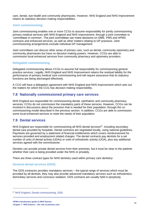care, dental, eye health and community pharmacies. However, NHS England and NHS Improvement retains its statutory decision-making responsibilities.

#### **Joint commissioning**

Joint commissioning enables one or more CCGs to assume responsibility for jointly commissioning primary medical services with NHS England and NHS Improvement, through a joint committee or 'committees in common'. The joint committees can make decisions on GMS, PMS and APMS contracts and enhanced services, as well as other matters relating to GP practices. Joint commissioning arrangements exclude individual GP management.

Joint committees can discuss other areas of primary care, such as dental, community optometry and community pharmacies but have no decision-making powers. However, CCGs are able to commission local enhanced services from community pharmacy and optometry providers.

#### **Delegated commissioning**

Delegated commissioning allows CCGs to assume full responsibility for commissioning general practice services. Legally, NHS England and NHS Improvement retains the residual liability for the performance of primary medical care commissioning and will require assurance that its statutory functions are being discharged effectively.

A CCG will have a delegation agreement with NHS England and NHS Improvement which sets out the matters for which the CCG has decision-making responsibility.

## **7.8 Nationally commissioned primary care services**

NHS England are responsible for commissioning dental, ophthalmic and community pharmacy services; CCGs do not commission the mandatory parts of these services. However, CCGs can be involved in discussions about the provision that is needed for their population, through the cocommissioning model described in the previous section. In addition, CCGs are able to commission some local enhanced services to meet the needs of their population.

# **7.9 Dental services**

NHS England are responsible for commissioning all NHS dental services $87$ , including secondary dental care provided by hospitals. Dental contracts are negotiated locally, using national guidelines. Payments are governed by a statement of financial entitlements which covers reimbursement for services provided and employment related charges. The dental contracts pay dentists for a set number of units of dental activity (UDAs) or units of orthodontic activity (UOA), plus any additional services agreed with the commissioner.

Dentists can provide private dental services from their premises, but it must be clear to the patients whether their care is being provided under the NHS or privately.

There are three contract types for NHS dentistry used within primary care dentistry:

#### **General dental services (GDS)**

The GDS contractor provides mandatory services – the typical range of services which must be provided by all dentists, they may also provide advanced mandatory services such as orthodontics, domiciliary services and conscious sedation. GDS contracts are usually held in perpetuity.

<sup>87</sup> NHS England, *[Dental commissioning](https://www.england.nhs.uk/primary-care/dentistry/dental-commissioning/)*, 2020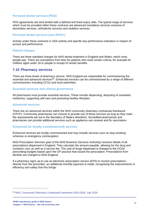#### **Personal dental services (PDS)**

PDS agreements are time limited with a defined and fixed expiry date. The typical range of services which must be provided within these contracts are advanced mandatory services inclusive of domiciliary services, orthodontic services and sedation services.

#### **Personal dental services plus (PDS+)**

Activity under these contracts is UDA activity and specific key performance indicators in respect of access and performance.

#### **Patient charges**

There are three standard charges for NHS dental treatment in England and Wales, which most people pay. There are exemptions from fees for patients who meet certain criteria; for example for children aged under 18 or people in receipt of certain benefits.

#### **7.10 Pharmacy services**

There are three levels of pharmacy service. NHS England are responsible for commissioning the essential and advanced services<sup>88</sup>. Enhanced services can be commissioned by a range of different commissioners including CCGs and local authorities.

#### **Essential services and clinical governance**

All pharmacies must provide essential services. These include dispensing, disposing of unwanted medicines, supporting self-care and promoting healthy lifestyles.

#### **Advanced services**

There are six advanced services within the NHS community pharmacy contractual framework (CPCF). Community pharmacies can choose to provide any of these services as long as they meet the requirements set out in the Secretary of State's directions. Accredited pharmacists and pharmacies can provide additional services such as appliance use reviews and flu vaccination.

#### **Enhanced (or locally commissioned) services**

Enhanced services are locally commissioned and may include services such as stop smoking schemes or emergency contraception.

NHS Prescription Services (part of the NHS Business Services Authority) receives details of all prescriptions dispensed in England. They calculate the amount payable, allowing for the drug and container cost, as well as a service fee. The cost of drugs dispensed is charged to the CCGs' prescribing budgets based upon the GP practice that issued the prescription. Prescriptions from dentists are charged to NHS England.

If a pharmacy signs up to use an electronic prescription service (EPS) to receive prescriptions directly from the prescriber, an additional monthly payment is made, recognising the improvements in efficiency and safety that this brings.

<sup>88</sup> NHS, *[Community Pharmacy Contractual Framework 2019-2024,](https://www.england.nhs.uk/primary-care/pharmacy/community-pharmacy-contractual-framework/)* July 2019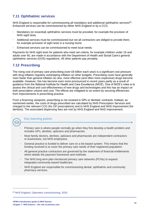# **7.11 Ophthalmic services**

NHS England is responsible for commissioning all mandatory and additional ophthalmic services<sup>89</sup>. Enhanced services can be commissioned by either NHS England or by a CCG.

- Mandatory (or essential) ophthalmic services must be provided, for example the provision of NHS sight tests.
- Additional services must be commissioned but not all contractors are obliged to provide them, for example provision of sight tests in a nursing home.
- Enhanced services can be commissioned to meet local needs.

Payments for NHS sight tests for patients who meet set criteria, for example children under 16 and adults over 60, are made in accordance with the Department of Health and Social Care's general ophthalmic services (GOS) regulations. All other patients pay privately.

# **7.12 Prescribing**

The rising cost of primary care prescribing (over £8 billion each year) is a significant cost pressure with drug inflation regularly outstripping inflation on other budgets. Prescribing costs have generally risen faster than general inflation as new, more effective (and often more expensive) drugs become available. However, this has become even more pronounced in recent years partly as a result of guidance from the National Institute for Health and Care Excellence (NICE). One of NICE's roles is to assess the clinical and cost-effectiveness of new drugs and technologies and this has an impact on both prescription volume and cost. The effects are mitigated to an extent by securing efficiencies from improvements in prescribing practice.

From a financing viewpoint, prescribing is not covered in GPs or dentists' contracts. Instead, as mentioned earlier, the costs of drugs prescribed are calculated by NHS Prescription Services and charged to the relevant CCG (for GP prescriptions) and to NHS England and NHS Improvement (for dentists). The associated dispensing fees are met by NHS England and NHS Improvement.

#### **Key learning points**

- Primary care is where people normally go when they first develop a health problem and includes GPs, dentists, opticians and pharmacists.
- Most family doctors, dentists, opticians and pharmacists are independent contractors or businesses, not NHS employees.
- General practice is funded to deliver care on a list-based system. This means that the funding received is to cover the primary care needs of their registered population.
- All general practice contractors are governed by the statement of financial entitlements which details the payment framework and methods.
- The NHS long term plan introduced primary care networks (PCNs) to expand integrated community-based healthcare.
- NHS England are responsible for commissioning dental, ophthalmic and community pharmacy services.

<sup>89</sup> NHS England, *[Optometry commissioning](https://www.england.nhs.uk/primary-care/eye-health/optometry-commissioning/)*, 2020